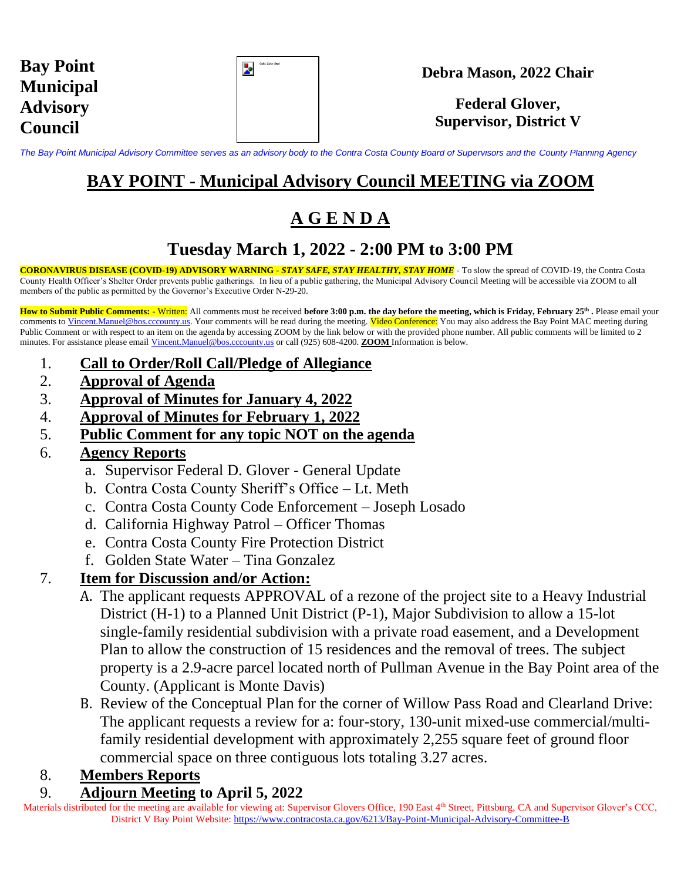| <b>Bay Point</b> |
|------------------|
| <b>Municipal</b> |
| <b>Advisory</b>  |
| <b>Council</b>   |

| Gold_Color Seal |
|-----------------|
|                 |
|                 |
|                 |

#### **Debra Mason, 2022 Chair**

## **Federal Glover, Supervisor, District V**

*The Bay Point Municipal Advisory Committee serves as an advisory body to the Contra Costa County Board of Supervisors and the County Planning Agency*

# **BAY POINT - Municipal Advisory Council MEETING via ZOOM**

# **A G E N D A**

# **Tuesday March 1, 2022 - 2:00 PM to 3:00 PM**

**CORONAVIRUS DISEASE (COVID-19) ADVISORY WARNING -** *STAY SAFE, STAY HEALTHY, STAY HOME* - To slow the spread of COVID-19, the Contra Costa County Health Officer's Shelter Order prevents public gatherings. In lieu of a public gathering, the Municipal Advisory Council Meeting will be accessible via ZOOM to all members of the public as permitted by the Governor's Executive Order N-29-20.

**How to Submit Public Comments: -** Written: All comments must be received **before 3:00 p.m. the day before the meeting, which is Friday, February 25 th .** Please email your comments to [Vincent.Manuel@bos.cccounty.us.](mailto:Vincent.Manuel@bos.cccounty.us) Your comments will be read during the meeting. Video Conference: You may also address the Bay Point MAC meeting during Public Comment or with respect to an item on the agenda by accessing ZOOM by the link below or with the provided phone number. All public comments will be limited to 2 minutes. For assistance please email [Vincent.Manuel@bos.cccounty.us](mailto:Vincent.Manuel@bos.cccounty.us) or call (925) 608-4200. **ZOOM** Information is below.

- 1. **Call to Order/Roll Call/Pledge of Allegiance**
- 2. **Approval of Agenda**
- 3. **Approval of Minutes for January 4, 2022**
- 4. **Approval of Minutes for February 1, 2022**
- 5. **Public Comment for any topic NOT on the agenda**

#### 6. **Agency Reports**

- a. Supervisor Federal D. Glover General Update
- b. Contra Costa County Sheriff's Office Lt. Meth
- c. Contra Costa County Code Enforcement Joseph Losado
- d. California Highway Patrol Officer Thomas
- e. Contra Costa County Fire Protection District
- f. Golden State Water Tina Gonzalez

## 7. **Item for Discussion and/or Action:**

- A. The applicant requests APPROVAL of a rezone of the project site to a Heavy Industrial District (H-1) to a Planned Unit District (P-1), Major Subdivision to allow a 15-lot single-family residential subdivision with a private road easement, and a Development Plan to allow the construction of 15 residences and the removal of trees. The subject property is a 2.9-acre parcel located north of Pullman Avenue in the Bay Point area of the County. (Applicant is Monte Davis)
- B. Review of the Conceptual Plan for the corner of Willow Pass Road and Clearland Drive: The applicant requests a review for a: four-story, 130-unit mixed-use commercial/multifamily residential development with approximately 2,255 square feet of ground floor commercial space on three contiguous lots totaling 3.27 acres.

## 8. **Members Reports**

## 9. **Adjourn Meeting to April 5, 2022**

Materials distributed for the meeting are available for viewing at: Supervisor Glovers Office, 190 East  $4<sup>th</sup>$  Street, Pittsburg, CA and Supervisor Glover's CCC, District V Bay Point Website: <https://www.contracosta.ca.gov/6213/Bay-Point-Municipal-Advisory-Committee-B>